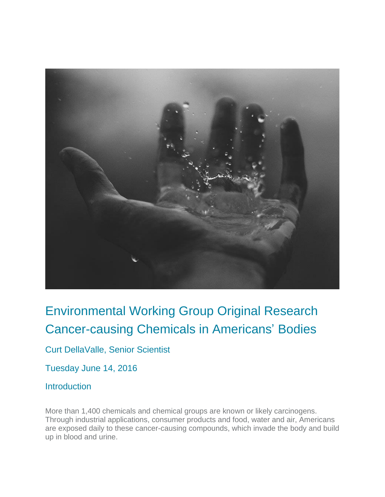

### Environmental Working Group Original Research Cancer-causing Chemicals in Americans' Bodies

Curt DellaValle, Senior Scientist

Tuesday June 14, 2016

#### **Introduction**

More than 1,400 chemicals and chemical groups are known or likely carcinogens. Through industrial applications, consumer products and food, water and air, Americans are exposed daily to these cancer-causing compounds, which invade the body and build up in blood and urine.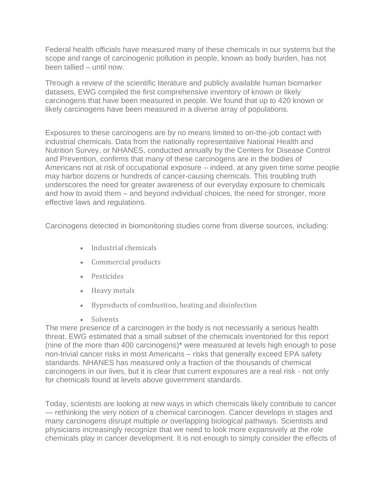Federal health officials have measured many of these chemicals in our systems but the scope and range of carcinogenic pollution in people, known as body burden, has not been tallied – until now.

Through a review of the scientific literature and publicly available human biomarker datasets, EWG compiled the first comprehensive inventory of known or likely carcinogens that have been measured in people. We found that up to 420 known or likely carcinogens have been measured in a diverse array of populations.

Exposures to these carcinogens are by no means limited to on-the-job contact with industrial chemicals. Data from the nationally representative National Health and Nutrition Survey, or NHANES, conducted annually by the Centers for Disease Control and Prevention, confirms that many of these carcinogens are in the bodies of Americans not at risk of occupational exposure – indeed, at any given time some people may harbor dozens or hundreds of cancer-causing chemicals. This troubling truth underscores the need for greater awareness of our everyday exposure to chemicals and how to avoid them – and beyond individual choices, the need for stronger, more effective laws and regulations.

Carcinogens detected in biomonitoring studies come from diverse sources, including:

- Industrial chemicals
- Commercial products
- Pesticides
- Heavy metals
- Byproducts of combustion, heating and disinfection
- Solvents

The mere presence of a carcinogen in the body is not necessarily a serious health threat. EWG estimated that a small subset of the chemicals inventoried for this report (nine of the more than 400 carcinogens[\)\\*](https://www.ewg.org/research/pollution-people#_ftn2) were measured at levels high enough to pose non-trivial cancer risks in most Americans – risks that generally exceed EPA safety standards. NHANES has measured only a fraction of the thousands of chemical carcinogens in our lives, but it is clear that current exposures are a real risk - not only for chemicals found at levels above government standards.

Today, scientists are looking at new ways in which chemicals likely contribute to cancer — rethinking the very notion of a chemical carcinogen. Cancer develops in stages and many carcinogens disrupt multiple or overlapping biological pathways. Scientists and physicians increasingly recognize that we need to look more expansively at the role chemicals play in cancer development. It is not enough to simply consider the effects of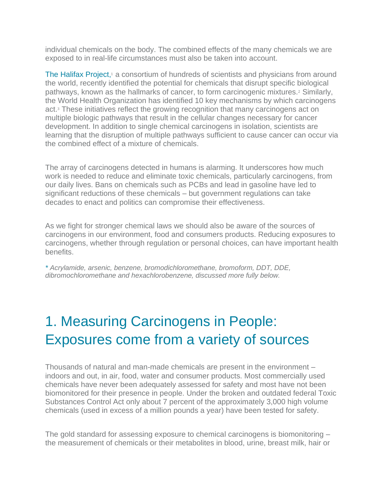individual chemicals on the body. The combined effects of the many chemicals we are exposed to in real-life circumstances must also be taken into account.

[The Halifax Project,](http://www.gettingtoknowcancer.org/) $1$  a consortium of hundreds of scientists and physicians from around the world, recently identified the potential for chemicals that disrupt specific biological pathways, known as the hallmarks of cancer, to form carcinogenic mixtures.<sup>2</sup> Similarly, the World Health Organization has identified 10 key mechanisms by which carcinogens act.<sup>3</sup> These initiatives reflect the growing recognition that many carcinogens act on multiple biologic pathways that result in the cellular changes necessary for cancer development. In addition to single chemical carcinogens in isolation, scientists are learning that the disruption of multiple pathways sufficient to cause cancer can occur via the combined effect of a mixture of chemicals.

The array of carcinogens detected in humans is alarming. It underscores how much work is needed to reduce and eliminate toxic chemicals, particularly carcinogens, from our daily lives. Bans on chemicals such as PCBs and lead in gasoline have led to significant reductions of these chemicals – but government regulations can take decades to enact and politics can compromise their effectiveness.

As we fight for stronger chemical laws we should also be aware of the sources of carcinogens in our environment, food and consumers products. Reducing exposures to carcinogens, whether through regulation or personal choices, can have important health benefits.

*[\\*](https://www.ewg.org/research/pollution-people#_ftnref2) Acrylamide, arsenic, benzene, bromodichloromethane, bromoform, DDT, DDE, dibromochloromethane and hexachlorobenzene, discussed more fully below.*

# 1. Measuring Carcinogens in People: Exposures come from a variety of sources

Thousands of natural and man-made chemicals are present in the environment – indoors and out, in air, food, water and consumer products. Most commercially used chemicals have never been adequately assessed for safety and most have not been biomonitored for their presence in people. Under the broken and outdated federal Toxic Substances Control Act only about 7 percent of the approximately 3,000 high volume chemicals (used in excess of a million pounds a year) have been tested for safety.

The gold standard for assessing exposure to chemical carcinogens is biomonitoring – the measurement of chemicals or their metabolites in blood, urine, breast milk, hair or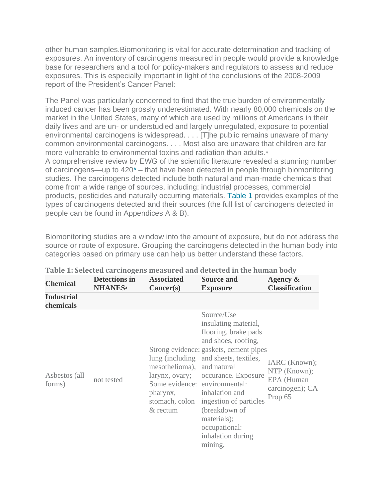other human samples.Biomonitoring is vital for accurate determination and tracking of exposures. An inventory of carcinogens measured in people would provide a knowledge base for researchers and a tool for policy-makers and regulators to assess and reduce exposures. This is especially important in light of the conclusions of the 2008-2009 report of the President's Cancer Panel:

The Panel was particularly concerned to find that the true burden of environmentally induced cancer has been grossly underestimated. With nearly 80,000 chemicals on the market in the United States, many of which are used by millions of Americans in their daily lives and are un- or understudied and largely unregulated, exposure to potential environmental carcinogens is widespread. . . . [T]he public remains unaware of many common environmental carcinogens. . . . Most also are unaware that children are far more vulnerable to environmental toxins and radiation than adults.<sup>4</sup> A comprehensive review by EWG of the scientific literature revealed a stunning number of carcinogens—up to 42[0\\*](https://www.ewg.org/research/pollution-people#_ftn1) – that have been detected in people through biomonitoring studies. The carcinogens detected include both natural and man-made chemicals that come from a wide range of sources, including: industrial processes, commercial products, pesticides and naturally occurring materials. [Table 1](https://static.ewg.org/reports/2016/cancer_main/the-pollution-in-people/EWG_Cancer_Bio-Monitoring_Report_C02-pages.pdf#page=5) provides examples of the types of carcinogens detected and their sources (the full list of carcinogens detected in

people can be found in Appendices A & B).

Biomonitoring studies are a window into the amount of exposure, but do not address the source or route of exposure. Grouping the carcinogens detected in the human body into categories based on primary use can help us better understand these factors.

| <b>Chemical</b>                | <b>Detections in</b><br><b>NHANES</b> <sup>a</sup> | <b>Associated</b><br>Cancer(s)                                       | <b>Source and</b><br><b>Exposure</b>                                                                                                                                                                                                                                                                                                                                     | Agency &<br><b>Classification</b>                                         |
|--------------------------------|----------------------------------------------------|----------------------------------------------------------------------|--------------------------------------------------------------------------------------------------------------------------------------------------------------------------------------------------------------------------------------------------------------------------------------------------------------------------------------------------------------------------|---------------------------------------------------------------------------|
| <b>Industrial</b><br>chemicals |                                                    |                                                                      |                                                                                                                                                                                                                                                                                                                                                                          |                                                                           |
| Asbestos (all<br>forms)        | not tested                                         | mesothelioma), and natural<br>pharynx,<br>stomach, colon<br>& rectum | Source/Use<br>insulating material,<br>flooring, brake pads<br>and shoes, roofing,<br>Strong evidence: gaskets, cement pipes<br>lung (including and sheets, textiles,<br>larynx, ovary; occurance. Exposure<br>Some evidence: environmental:<br>inhalation and<br>ingestion of particles<br>(breakdown of<br>materials);<br>occupational:<br>inhalation during<br>mining, | IARC (Known);<br>NTP (Known);<br>EPA (Human<br>carcinogen); CA<br>Prop 65 |

#### **Table 1: Selected carcinogens measured and detected in the human body**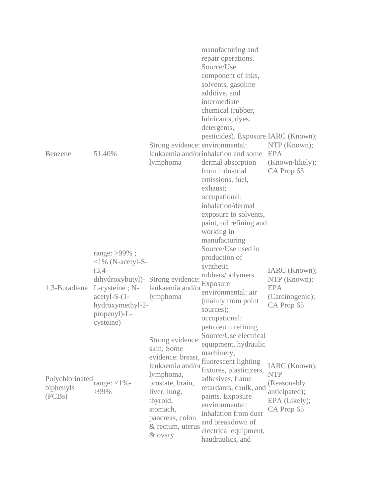| Benzene                                | 51.40%                                                                                                                                                                       | Strong evidence: environmental:<br>lymphoma                                                                                                                                                        | manufacturing and<br>repair operations.<br>Source/Use<br>component of inks,<br>solvents, gasoline<br>additive, and<br>intermediate<br>chemical (rubber,<br>lubricants, dyes,<br>detergents,<br>pesticides). Exposure IARC (Known);<br>leukaemia and/orinhalation and some EPA<br>dermal absorption<br>from industrial<br>emissions, fuel,<br>exhaust;<br>occupational:<br>inhalation/dermal<br>exposure to solvents,<br>paint, oil refining and<br>working in | NTP (Known);<br>(Known/likely);<br>CA Prop 65                                               |
|----------------------------------------|------------------------------------------------------------------------------------------------------------------------------------------------------------------------------|----------------------------------------------------------------------------------------------------------------------------------------------------------------------------------------------------|---------------------------------------------------------------------------------------------------------------------------------------------------------------------------------------------------------------------------------------------------------------------------------------------------------------------------------------------------------------------------------------------------------------------------------------------------------------|---------------------------------------------------------------------------------------------|
| 1,3-Butadiene                          | range: $>99\%$ ;<br>$<1\%$ (N-acetyl-S-<br>$(3,4-$<br>dihydroxybutyl)- Strong evidence:<br>L-cysteine; N-<br>$acetyl-S-(1-$<br>hydroxymethyl-2-<br>propenyl)-L-<br>cysteine) | leukaemia and/or<br>lymphoma                                                                                                                                                                       | manufacturing<br>Source/Use used in<br>production of<br>synthetic<br>rubbers/polymers.<br>Exposure<br>environmental: air<br>(mainly from point)<br>sources);<br>occupational:<br>petroleum refining                                                                                                                                                                                                                                                           | IARC (Known);<br>NTP (Known);<br><b>EPA</b><br>(Carcinogenic);<br>CA Prop 65                |
| Polychlorinated<br>biphenyls<br>(PCBs) | range: $<$ 1% -<br>$>99\%$                                                                                                                                                   | Strong evidence:<br>skin; Some<br>evidence: breast,<br>leukaemia and/or<br>lymphoma,<br>prostate, brain,<br>liver, lung,<br>thyroid,<br>stomach,<br>pancreas, colon<br>& rectum, uterus<br>& ovary | Source/Use electrical<br>equipment, hydraulic<br>machinery,<br>fluorescent lighting<br>fixtures, plasticizers,<br>adhesives, flame<br>retardants, caulk, and<br>paints. Exposure<br>environmental:<br>inhalation from dust<br>and breakdown of<br>electrical equipment,<br>haudraulics, and                                                                                                                                                                   | IARC (Known);<br><b>NTP</b><br>(Reasonably)<br>anticipated);<br>EPA (Likely);<br>CA Prop 65 |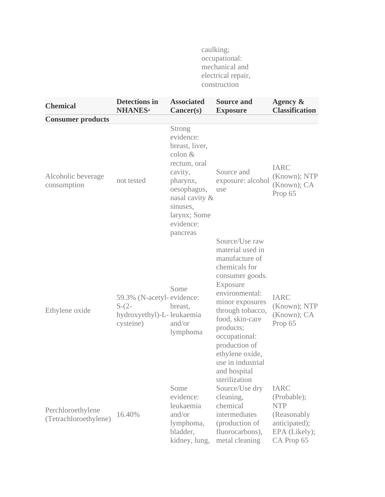caulking; occupational: mechanical and electrical repair, construction

| <b>Chemical</b>                            | <b>Detections in</b><br><b>NHANES</b> <sup>a</sup>                             | <b>Associated</b><br>Cancer(s)                                                                                                                                               | <b>Source and</b><br><b>Exposure</b>                                                                                                                                                                                                                                                    | Agency &<br><b>Classification</b>                                                                        |
|--------------------------------------------|--------------------------------------------------------------------------------|------------------------------------------------------------------------------------------------------------------------------------------------------------------------------|-----------------------------------------------------------------------------------------------------------------------------------------------------------------------------------------------------------------------------------------------------------------------------------------|----------------------------------------------------------------------------------------------------------|
| <b>Consumer products</b>                   |                                                                                |                                                                                                                                                                              |                                                                                                                                                                                                                                                                                         |                                                                                                          |
| Alcoholic beverage<br>consumption          | not tested                                                                     | Strong<br>evidence:<br>breast, liver,<br>$\text{colon } \&$<br>rectum, oral<br>cavity,<br>pharynx,<br>oesophagus,<br>nasal cavity &<br>sinuses,<br>larynx; Some<br>evidence: | Source and<br>exposure: alcohol<br>use                                                                                                                                                                                                                                                  | <b>IARC</b><br>(Known); NTP<br>(Known); CA<br>Prop 65                                                    |
| Ethylene oxide                             | 59.3% (N-acetyl-evidence:<br>$S-(2-$<br>hydroxyethyl)-L-leukaemia<br>cysteine) | pancreas<br>Some<br>breast,<br>and/or<br>lymphoma                                                                                                                            | Source/Use raw<br>material used in<br>manufacture of<br>chemicals for<br>consumer goods.<br>Exposure<br>environmental:<br>minor exposures<br>through tobacco,<br>food, skin-care<br>products;<br>occupational:<br>production of<br>ethylene oxide,<br>use in industrial<br>and hospital | <b>IARC</b><br>(Known); NTP<br>(Known); CA<br>Prop 65                                                    |
| Perchloroethylene<br>(Tetrachloroethylene) | 16.40%                                                                         | Some<br>evidence:<br>leukaemia<br>and/or<br>lymphoma,<br>bladder,<br>kidney, lung,                                                                                           | sterilization<br>Source/Use dry<br>cleaning,<br>chemical<br>intermediates<br>(production of<br>fluorocarbons),<br>metal cleaning                                                                                                                                                        | <b>IARC</b><br>(Probable);<br><b>NTP</b><br>(Reasonably)<br>anticipated);<br>EPA (Likely);<br>CA Prop 65 |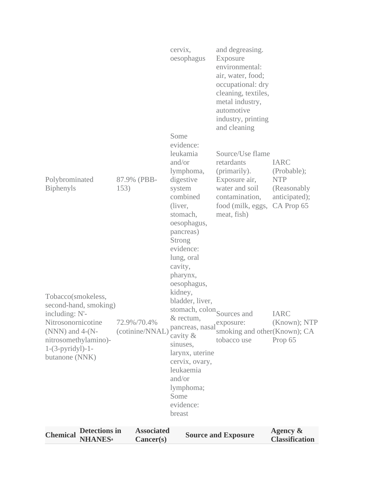| <b>Detections in</b><br><b>Chemical</b><br><b>NHANES</b> <sup>a</sup>                                                                                                    | <b>Associated</b><br>Cancer(s) |                                                                                                                                                                                                                                                                                                   | <b>Source and Exposure</b>                                                                                                                                                            | Agency &<br><b>Classification</b>                                                       |
|--------------------------------------------------------------------------------------------------------------------------------------------------------------------------|--------------------------------|---------------------------------------------------------------------------------------------------------------------------------------------------------------------------------------------------------------------------------------------------------------------------------------------------|---------------------------------------------------------------------------------------------------------------------------------------------------------------------------------------|-----------------------------------------------------------------------------------------|
| Tobacco(smokeless,<br>second-hand, smoking)<br>including: N'-<br>Nitrosonornicotine<br>(NNN) and $4-(N-$<br>nitrosomethylamino)-<br>$1-(3-pyridyl)-1-$<br>butanone (NNK) | 72.9%/70.4%<br>(cotinine/NNAL) | lung, oral<br>cavity,<br>pharynx,<br>oesophagus,<br>kidney,<br>bladder, liver,<br>stomach, colon <sub>Sources</sub> and<br>& rectum,<br>pancreas, nasal exposure:<br>cavity &<br>sinuses,<br>larynx, uterine<br>cervix, ovary,<br>leukaemia<br>and/or<br>lymphoma;<br>Some<br>evidence:<br>breast | smoking and other (Known); CA<br>tobacco use                                                                                                                                          | <b>IARC</b><br>(Known); NTP<br>Prop 65                                                  |
| Polybrominated<br><b>Biphenyls</b>                                                                                                                                       | 87.9% (PBB-<br>153)            | evidence:<br>leukamia<br>and/or<br>lymphoma,<br>digestive<br>system<br>combined<br>(liver,<br>stomach,<br>oesophagus,<br>pancreas)<br><b>Strong</b><br>evidence:                                                                                                                                  | Source/Use flame<br>retardants<br>(primarily).<br>Exposure air,<br>water and soil<br>contamination,<br>food (milk, eggs,<br>meat, fish)                                               | <b>IARC</b><br>(Probable);<br><b>NTP</b><br>(Reasonably)<br>anticipated);<br>CA Prop 65 |
|                                                                                                                                                                          |                                | cervix,<br>oesophagus<br>Some                                                                                                                                                                                                                                                                     | and degreasing.<br>Exposure<br>environmental:<br>air, water, food;<br>occupational: dry<br>cleaning, textiles,<br>metal industry,<br>automotive<br>industry, printing<br>and cleaning |                                                                                         |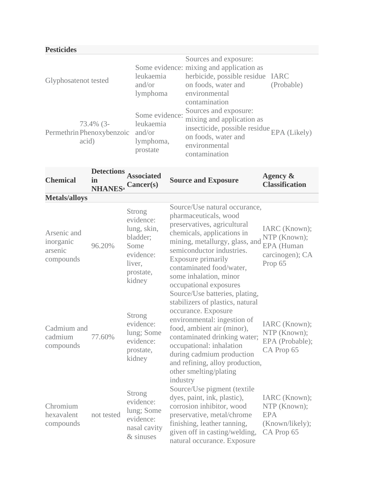| <b>Pesticides</b>                               |                                                                |                                                                                                                                                                |            |
|-------------------------------------------------|----------------------------------------------------------------|----------------------------------------------------------------------------------------------------------------------------------------------------------------|------------|
| Glyphosatenot tested                            | leukaemia<br>and/or<br>lymphoma                                | Sources and exposure:<br>Some evidence: mixing and application as<br>herbicide, possible residue IARC<br>on foods, water and<br>environmental<br>contamination | (Probable) |
| 73.4% (3-<br>Permethrin Phenoxybenzoic<br>acid) | Some evidence:<br>leukaemia<br>and/or<br>lymphoma,<br>prostate | Sources and exposure:<br>mixing and application as<br>insecticide, possible residue $EPA$ (Likely)<br>on foods, water and<br>environmental<br>contamination    |            |

| <b>Chemical</b>                                  | <b>Detections</b><br>in<br><b>NHANES</b> <sup>a</sup> Cancer(s) | <b>Associated</b>                                                                                    | <b>Source and Exposure</b>                                                                                                                                                                                                                                                                                                                                                                                                                                                                                                                                                                               | Agency &<br><b>Classification</b>                                            |
|--------------------------------------------------|-----------------------------------------------------------------|------------------------------------------------------------------------------------------------------|----------------------------------------------------------------------------------------------------------------------------------------------------------------------------------------------------------------------------------------------------------------------------------------------------------------------------------------------------------------------------------------------------------------------------------------------------------------------------------------------------------------------------------------------------------------------------------------------------------|------------------------------------------------------------------------------|
| <b>Metals/alloys</b>                             |                                                                 |                                                                                                      |                                                                                                                                                                                                                                                                                                                                                                                                                                                                                                                                                                                                          |                                                                              |
| Arsenic and<br>inorganic<br>arsenic<br>compounds | 96.20%                                                          | Strong<br>evidence:<br>lung, skin,<br>bladder;<br>Some<br>evidence:<br>liver,<br>prostate,<br>kidney | Source/Use natural occurance,<br>pharmaceuticals, wood<br>preservatives, agricultural<br>chemicals, applications in<br>mining, metallurgy, glass, and<br>semiconductor industries.<br>Exposure primarily<br>contaminated food/water,<br>some inhalation, minor<br>occupational exposures<br>Source/Use batteries, plating,<br>stabilizers of plastics, natural<br>occurance. Exposure<br>environmental: ingestion of<br>food, ambient air (minor),<br>contaminated drinking water;<br>occupational: inhalation<br>during cadmium production<br>and refining, alloy production,<br>other smelting/plating | IARC (Known);<br>NTP (Known);<br>EPA (Human<br>carcinogen); CA<br>Prop 65    |
| Cadmium and<br>cadmium<br>compounds              | 77.60%                                                          | Strong<br>evidence:<br>lung; Some<br>evidence:<br>prostate,<br>kidney                                |                                                                                                                                                                                                                                                                                                                                                                                                                                                                                                                                                                                                          | IARC (Known);<br>NTP (Known);<br>EPA (Probable);<br>CA Prop 65               |
| Chromium<br>hexavalent<br>compounds              | not tested                                                      | Strong<br>evidence:<br>lung; Some<br>evidence:<br>nasal cavity<br>& sinuses                          | industry<br>Source/Use pigment (textile<br>dyes, paint, ink, plastic),<br>corrosion inhibitor, wood<br>preservative, metal/chrome<br>finishing, leather tanning,<br>given off in casting/welding,<br>natural occurance. Exposure                                                                                                                                                                                                                                                                                                                                                                         | IARC (Known);<br>NTP (Known);<br><b>EPA</b><br>(Known/likely);<br>CA Prop 65 |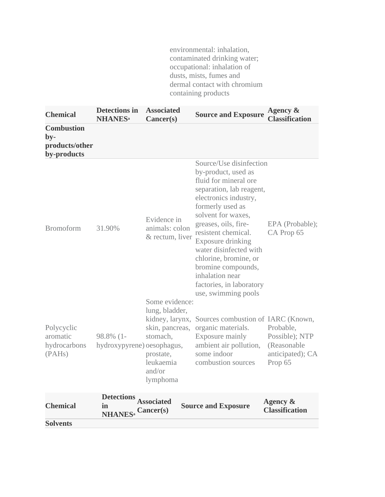environmental: inhalation, contaminated drinking water; occupational: inhalation of dusts, mists, fumes and dermal contact with chromium containing products

| <b>Chemical</b>                                             | <b>Detections in</b><br><b>NHANESa</b>                    | <b>Associated</b><br>Cancer(s)                                                               | <b>Source and Exposure</b>                                                                                                                                                                                                                                                                                                                                                                | Agency &<br><b>Classification</b>                                         |
|-------------------------------------------------------------|-----------------------------------------------------------|----------------------------------------------------------------------------------------------|-------------------------------------------------------------------------------------------------------------------------------------------------------------------------------------------------------------------------------------------------------------------------------------------------------------------------------------------------------------------------------------------|---------------------------------------------------------------------------|
| <b>Combustion</b><br>$by-$<br>products/other<br>by-products |                                                           |                                                                                              |                                                                                                                                                                                                                                                                                                                                                                                           |                                                                           |
| <b>Bromoform</b>                                            | 31.90%                                                    | Evidence in<br>animals: colon<br>& rectum, liver                                             | Source/Use disinfection<br>by-product, used as<br>fluid for mineral ore<br>separation, lab reagent,<br>electronics industry,<br>formerly used as<br>solvent for waxes,<br>greases, oils, fire-<br>resistent chemical.<br>Exposure drinking<br>water disinfected with<br>chlorine, bromine, or<br>bromine compounds,<br>inhalation near<br>factories, in laboratory<br>use, swimming pools | EPA (Probable);<br>CA Prop 65                                             |
| Polycyclic<br>aromatic<br>hydrocarbons<br>(PAHs)            | 98.8% (1-<br>hydroxypyrene) oesophagus,                   | Some evidence:<br>lung, bladder,<br>stomach,<br>prostate,<br>leukaemia<br>and/or<br>lymphoma | kidney, larynx, Sources combustion of IARC (Known,<br>skin, pancreas, organic materials.<br>Exposure mainly<br>ambient air pollution,<br>some indoor<br>combustion sources                                                                                                                                                                                                                | Probable,<br>Possible); NTP<br>(Reasonable<br>anticipated); CA<br>Prop 65 |
| <b>Chemical</b>                                             | Detections Associated<br>in<br><b>NHANES</b> <sup>a</sup> | Cancer(s)                                                                                    | <b>Source and Exposure</b>                                                                                                                                                                                                                                                                                                                                                                | Agency &<br><b>Classification</b>                                         |
| <b>Solvents</b>                                             |                                                           |                                                                                              |                                                                                                                                                                                                                                                                                                                                                                                           |                                                                           |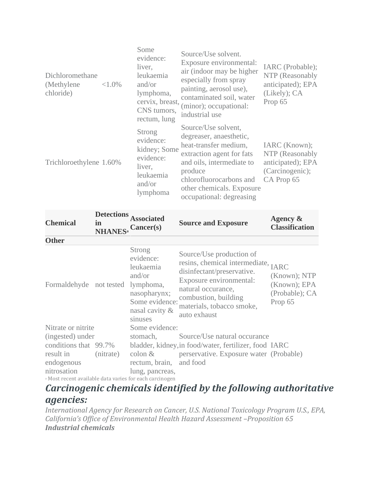| Dichloromethane<br>(Methylene)<br>chloride) | Some<br>liver,<br>$<1.0\%$<br>and/or | evidence:<br>leukaemia<br>lymphoma,<br>cervix, breast,<br>CNS tumors,<br>rectum, lung | Source/Use solvent.<br>Exposure environmental:<br>air (indoor may be higher<br>especially from spray<br>painting, aerosol use),<br>contaminated soil, water<br>(minor); occupational:<br>industrial use                          | IARC (Probable);<br>NTP (Reasonably<br>anticipated); EPA<br>(Likely); CA<br>Prop 65    |
|---------------------------------------------|--------------------------------------|---------------------------------------------------------------------------------------|----------------------------------------------------------------------------------------------------------------------------------------------------------------------------------------------------------------------------------|----------------------------------------------------------------------------------------|
| Trichloroethylene 1.60%                     | Strong<br>liver,<br>and/or           | evidence:<br>kidney; Some<br>evidence:<br>leukaemia<br>lymphoma                       | Source/Use solvent,<br>degreaser, anaesthetic,<br>heat-transfer medium,<br>extraction agent for fats<br>and oils, intermediate to<br>produce<br>chlorofluorocarbons and<br>other chemicals. Exposure<br>occupational: degreasing | IARC (Known);<br>NTP (Reasonably<br>anticipated); EPA<br>(Carcinogenic);<br>CA Prop 65 |

| <b>Chemical</b>                                                    | <b>Detections</b><br>in<br><b>NHANES</b> <sup>a</sup> Cancer(s) | <b>Associated</b>                                                                                         | <b>Source and Exposure</b>                                                                                                                                                                                          | Agency $\&$<br><b>Classification</b>                      |
|--------------------------------------------------------------------|-----------------------------------------------------------------|-----------------------------------------------------------------------------------------------------------|---------------------------------------------------------------------------------------------------------------------------------------------------------------------------------------------------------------------|-----------------------------------------------------------|
| <b>Other</b>                                                       |                                                                 |                                                                                                           |                                                                                                                                                                                                                     |                                                           |
| Formaldehyde not tested lymphoma,                                  |                                                                 | Strong<br>evidence:<br>leukaemia<br>and/or<br>nasopharynx;<br>Some evidence:<br>nasal cavity &<br>sinuses | Source/Use production of<br>resins, chemical intermediate, IARC<br>disinfectant/preservative.<br>Exposure environmental:<br>natural occurance,<br>combustion, building<br>materials, tobacco smoke,<br>auto exhaust | (Known); NTP<br>(Known); EPA<br>(Probable); CA<br>Prop 65 |
| Nitrate or nitrite                                                 |                                                                 | Some evidence:                                                                                            |                                                                                                                                                                                                                     |                                                           |
| (ingested) under                                                   |                                                                 | stomach,                                                                                                  | Source/Use natural occurance                                                                                                                                                                                        |                                                           |
| conditions that 99.7%                                              |                                                                 |                                                                                                           | bladder, kidney, in food/water, fertilizer, food IARC                                                                                                                                                               |                                                           |
| result in                                                          | (nitrate)                                                       | $\text{colon } \&$                                                                                        | perservative. Exposure water (Probable)                                                                                                                                                                             |                                                           |
| endogenous                                                         |                                                                 | rectum, brain, and food                                                                                   |                                                                                                                                                                                                                     |                                                           |
| nitrosation                                                        |                                                                 | lung, pancreas,                                                                                           |                                                                                                                                                                                                                     |                                                           |
| <sup>a</sup> Most recent available data varies for each carcinogen |                                                                 |                                                                                                           |                                                                                                                                                                                                                     |                                                           |

### *Carcinogenic chemicals identified by the following authoritative agencies:*

*International Agency for Research on Cancer, U.S. National Toxicology Program U.S., EPA, California's Office of Environmental Health Hazard Assessment –Proposition 65 Industrial chemicals*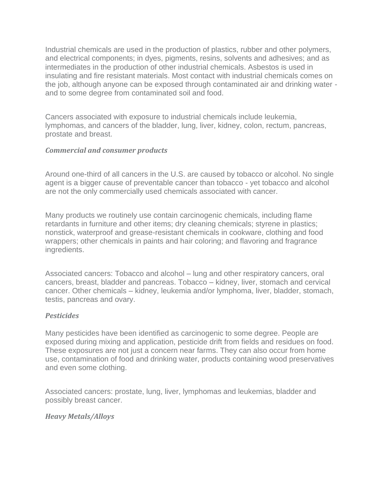Industrial chemicals are used in the production of plastics, rubber and other polymers, and electrical components; in dyes, pigments, resins, solvents and adhesives; and as intermediates in the production of other industrial chemicals. Asbestos is used in insulating and fire resistant materials. Most contact with industrial chemicals comes on the job, although anyone can be exposed through contaminated air and drinking water and to some degree from contaminated soil and food.

Cancers associated with exposure to industrial chemicals include leukemia, lymphomas, and cancers of the bladder, lung, liver, kidney, colon, rectum, pancreas, prostate and breast.

#### *Commercial and consumer products*

Around one-third of all cancers in the U.S. are caused by tobacco or alcohol. No single agent is a bigger cause of preventable cancer than tobacco - yet tobacco and alcohol are not the only commercially used chemicals associated with cancer.

Many products we routinely use contain carcinogenic chemicals, including flame retardants in furniture and other items; dry cleaning chemicals; styrene in plastics; nonstick, waterproof and grease-resistant chemicals in cookware, clothing and food wrappers; other chemicals in paints and hair coloring; and flavoring and fragrance ingredients.

Associated cancers: Tobacco and alcohol – lung and other respiratory cancers, oral cancers, breast, bladder and pancreas. Tobacco – kidney, liver, stomach and cervical cancer. Other chemicals – kidney, leukemia and/or lymphoma, liver, bladder, stomach, testis, pancreas and ovary.

#### *Pesticides*

Many pesticides have been identified as carcinogenic to some degree. People are exposed during mixing and application, pesticide drift from fields and residues on food. These exposures are not just a concern near farms. They can also occur from home use, contamination of food and drinking water, products containing wood preservatives and even some clothing.

Associated cancers: prostate, lung, liver, lymphomas and leukemias, bladder and possibly breast cancer.

#### *Heavy Metals/Alloys*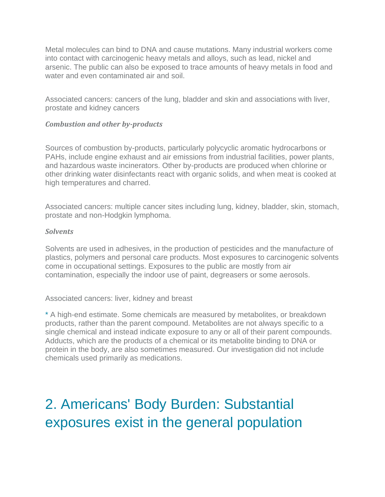Metal molecules can bind to DNA and cause mutations. Many industrial workers come into contact with carcinogenic heavy metals and alloys, such as lead, nickel and arsenic. The public can also be exposed to trace amounts of heavy metals in food and water and even contaminated air and soil.

Associated cancers: cancers of the lung, bladder and skin and associations with liver, prostate and kidney cancers

#### *Combustion and other by-products*

Sources of combustion by-products, particularly polycyclic aromatic hydrocarbons or PAHs, include engine exhaust and air emissions from industrial facilities, power plants, and hazardous waste incinerators. Other by-products are produced when chlorine or other drinking water disinfectants react with organic solids, and when meat is cooked at high temperatures and charred.

Associated cancers: multiple cancer sites including lung, kidney, bladder, skin, stomach, prostate and non-Hodgkin lymphoma.

#### *Solvents*

Solvents are used in adhesives, in the production of pesticides and the manufacture of plastics, polymers and personal care products. Most exposures to carcinogenic solvents come in occupational settings. Exposures to the public are mostly from air contamination, especially the indoor use of paint, degreasers or some aerosols.

#### Associated cancers: liver, kidney and breast

[\\*](https://www.ewg.org/research/pollution-people#_ftnref1) A high-end estimate. Some chemicals are measured by metabolites, or breakdown products, rather than the parent compound. Metabolites are not always specific to a single chemical and instead indicate exposure to any or all of their parent compounds. Adducts, which are the products of a chemical or its metabolite binding to DNA or protein in the body, are also sometimes measured. Our investigation did not include chemicals used primarily as medications.

# 2. Americans' Body Burden: Substantial exposures exist in the general population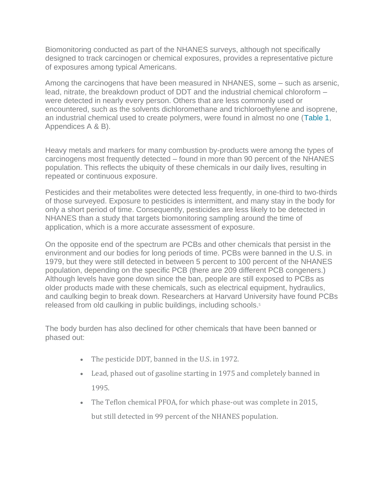Biomonitoring conducted as part of the NHANES surveys, although not specifically designed to track carcinogen or chemical exposures, provides a representative picture of exposures among typical Americans.

Among the carcinogens that have been measured in NHANES, some – such as arsenic, lead, nitrate, the breakdown product of DDT and the industrial chemical chloroform – were detected in nearly every person. Others that are less commonly used or encountered, such as the solvents dichloromethane and trichloroethylene and isoprene, an industrial chemical used to create polymers, were found in almost no one [\(Table 1,](https://static.ewg.org/reports/2016/cancer_main/the-pollution-in-people/EWG_Cancer_Bio-Monitoring_Report_C02-pages.pdf#page=5) Appendices A & B).

Heavy metals and markers for many combustion by-products were among the types of carcinogens most frequently detected – found in more than 90 percent of the NHANES population. This reflects the ubiquity of these chemicals in our daily lives, resulting in repeated or continuous exposure.

Pesticides and their metabolites were detected less frequently, in one-third to two-thirds of those surveyed. Exposure to pesticides is intermittent, and many stay in the body for only a short period of time. Consequently, pesticides are less likely to be detected in NHANES than a study that targets biomonitoring sampling around the time of application, which is a more accurate assessment of exposure.

On the opposite end of the spectrum are PCBs and other chemicals that persist in the environment and our bodies for long periods of time. PCBs were banned in the U.S. in 1979, but they were still detected in between 5 percent to 100 percent of the NHANES population, depending on the specific PCB (there are 209 different PCB congeners.) Although levels have gone down since the ban, people are still exposed to PCBs as older products made with these chemicals, such as electrical equipment, hydraulics, and caulking begin to break down. Researchers at Harvard University have found PCBs released from old caulking in public buildings, including schools.<sup>5</sup>

The body burden has also declined for other chemicals that have been banned or phased out:

- The pesticide DDT, banned in the U.S. in 1972.
- Lead, phased out of gasoline starting in 1975 and completely banned in 1995.
- The Teflon chemical PFOA, for which phase-out was complete in 2015, but still detected in 99 percent of the NHANES population.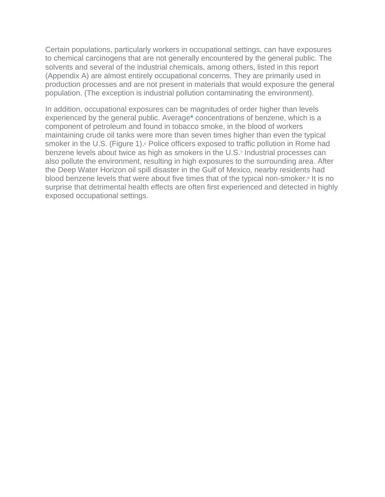Certain populations, particularly workers in occupational settings, can have exposures to chemical carcinogens that are not generally encountered by the general public. The solvents and several of the industrial chemicals, among others, listed in this report (Appendix A) are almost entirely occupational concerns. They are primarily used in production processes and are not present in materials that would exposure the general population. (The exception is industrial pollution contaminating the environment).

In addition, occupational exposures can be magnitudes of order higher than levels experienced by the general public. Averag[e\\*](https://www.ewg.org/research/pollution-people#_ftn3) concentrations of benzene, which is a component of petroleum and found in tobacco smoke, in the blood of workers maintaining crude oil tanks were more than seven times higher than even the typical smoker in the U.S. (Figure 1).<sup>6</sup> Police officers exposed to traffic pollution in Rome had benzene levels about twice as high as smokers in the U.S.<sup>7</sup> Industrial processes can also pollute the environment, resulting in high exposures to the surrounding area. After the Deep Water Horizon oil spill disaster in the Gulf of Mexico, nearby residents had blood benzene levels that were about five times that of the typical non-smoker.<sup>8</sup> It is no surprise that detrimental health effects are often first experienced and detected in highly exposed occupational settings.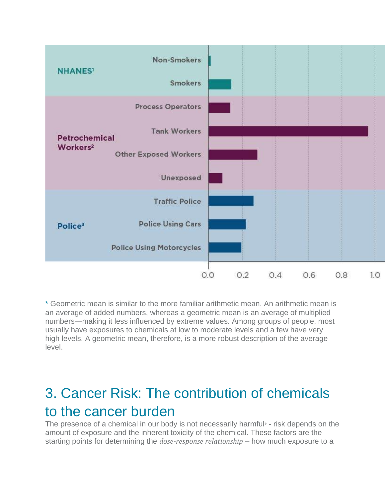

[\\*](https://www.ewg.org/research/pollution-people#_ftnref3) Geometric mean is similar to the more familiar arithmetic mean. An arithmetic mean is an average of added numbers, whereas a geometric mean is an average of multiplied numbers—making it less influenced by extreme values. Among groups of people, most usually have exposures to chemicals at low to moderate levels and a few have very high levels. A geometric mean, therefore, is a more robust description of the average level.

## 3. Cancer Risk: The contribution of chemicals to the cancer burden

The presence of a chemical in our body is not necessarily harmful<sup>9</sup> - risk depends on the amount of exposure and the inherent toxicity of the chemical. These factors are the starting points for determining the *dose-response relationship* – how much exposure to a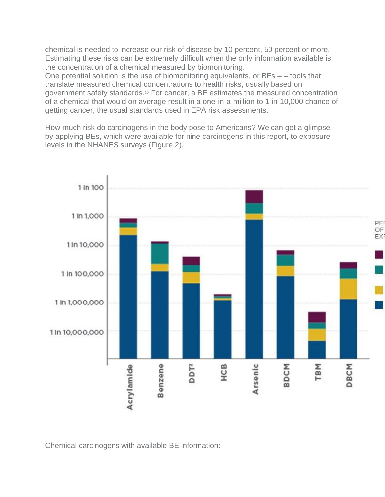chemical is needed to increase our risk of disease by 10 percent, 50 percent or more. Estimating these risks can be extremely difficult when the only information available is the concentration of a chemical measured by biomonitoring.

One potential solution is the use of biomonitoring equivalents, or BEs – – tools that translate measured chemical concentrations to health risks, usually based on government safety standards.<sup>10</sup> For cancer, a BE estimates the measured concentration of a chemical that would on average result in a one-in-a-million to 1-in-10,000 chance of getting cancer, the usual standards used in EPA risk assessments.

How much risk do carcinogens in the body pose to Americans? We can get a glimpse by applying BEs, which were available for nine carcinogens in this report, to exposure levels in the NHANES surveys (Figure 2).



Chemical carcinogens with available BE information: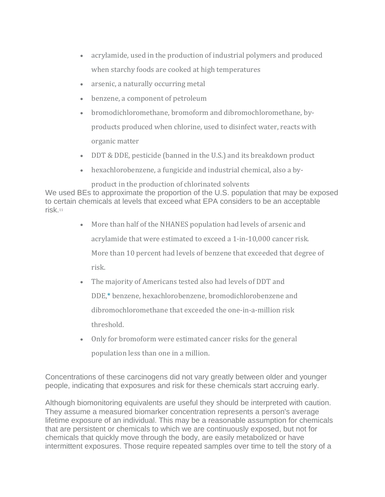- acrylamide, used in the production of industrial polymers and produced when starchy foods are cooked at high temperatures
- arsenic, a naturally occurring metal
- benzene, a component of petroleum
- bromodichloromethane, bromoform and dibromochloromethane, byproducts produced when chlorine, used to disinfect water, reacts with organic matter
- DDT & DDE, pesticide (banned in the U.S.) and its breakdown product
- hexachlorobenzene, a fungicide and industrial chemical, also a by-

product in the production of chlorinated solvents We used BEs to approximate the proportion of the U.S. population that may be exposed to certain chemicals at levels that exceed what EPA considers to be an acceptable risk.<sup>11</sup>

- More than half of the NHANES population had levels of arsenic and acrylamide that were estimated to exceed a 1-in-10,000 cancer risk. More than 10 percent had levels of benzene that exceeded that degree of risk.
- The majority of Americans tested also had levels of DDT and DD[E,\\*](https://www.ewg.org/research/pollution-people#_ftn4) benzene, hexachlorobenzene, bromodichlorobenzene and dibromochloromethane that exceeded the one-in-a-million risk threshold.
- Only for bromoform were estimated cancer risks for the general population less than one in a million.

Concentrations of these carcinogens did not vary greatly between older and younger people, indicating that exposures and risk for these chemicals start accruing early.

Although biomonitoring equivalents are useful they should be interpreted with caution. They assume a measured biomarker concentration represents a person's average lifetime exposure of an individual. This may be a reasonable assumption for chemicals that are persistent or chemicals to which we are continuously exposed, but not for chemicals that quickly move through the body, are easily metabolized or have intermittent exposures. Those require repeated samples over time to tell the story of a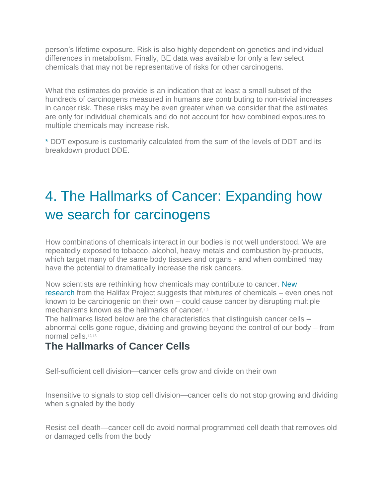person's lifetime exposure. Risk is also highly dependent on genetics and individual differences in metabolism. Finally, BE data was available for only a few select chemicals that may not be representative of risks for other carcinogens.

What the estimates do provide is an indication that at least a small subset of the hundreds of carcinogens measured in humans are contributing to non-trivial increases in cancer risk. These risks may be even greater when we consider that the estimates are only for individual chemicals and do not account for how combined exposures to multiple chemicals may increase risk.

[\\*](https://www.ewg.org/research/pollution-people#_ftnref4) DDT exposure is customarily calculated from the sum of the levels of DDT and its breakdown product DDE.

# 4. The Hallmarks of Cancer: Expanding how we search for carcinogens

How combinations of chemicals interact in our bodies is not well understood. We are repeatedly exposed to tobacco, alcohol, heavy metals and combustion by-products, which target many of the same body tissues and organs - and when combined may have the potential to dramatically increase the risk cancers.

Now scientists are rethinking how chemicals may contribute to cancer. [New](https://www.ewg.org/research/rethinking-carcinogens)  [research](https://www.ewg.org/research/rethinking-carcinogens) from the Halifax Project suggests that mixtures of chemicals – even ones not known to be carcinogenic on their own – could cause cancer by disrupting multiple mechanisms known as the hallmarks of cancer.<sup>1,2</sup>

The hallmarks listed below are the characteristics that distinguish cancer cells – abnormal cells gone rogue, dividing and growing beyond the control of our body – from normal cells.12,13

### **The Hallmarks of Cancer Cells**

Self-sufficient cell division—cancer cells grow and divide on their own

Insensitive to signals to stop cell division—cancer cells do not stop growing and dividing when signaled by the body

Resist cell death—cancer cell do avoid normal programmed cell death that removes old or damaged cells from the body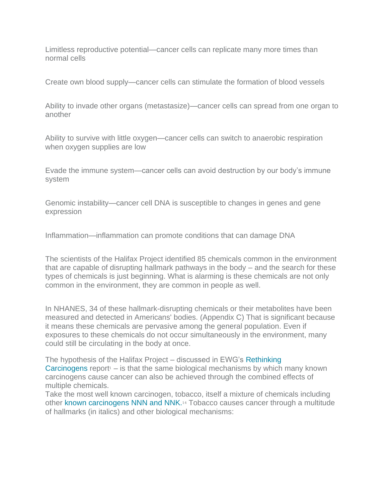Limitless reproductive potential—cancer cells can replicate many more times than normal cells

Create own blood supply—cancer cells can stimulate the formation of blood vessels

Ability to invade other organs (metastasize)—cancer cells can spread from one organ to another

Ability to survive with little oxygen—cancer cells can switch to anaerobic respiration when oxygen supplies are low

Evade the immune system—cancer cells can avoid destruction by our body's immune system

Genomic instability—cancer cell DNA is susceptible to changes in genes and gene expression

Inflammation—inflammation can promote conditions that can damage DNA

The scientists of the Halifax Project identified 85 chemicals common in the environment that are capable of disrupting hallmark pathways in the body – and the search for these types of chemicals is just beginning. What is alarming is these chemicals are not only common in the environment, they are common in people as well.

In NHANES, 34 of these hallmark-disrupting chemicals or their metabolites have been measured and detected in Americans' bodies. (Appendix C) That is significant because it means these chemicals are pervasive among the general population. Even if exposures to these chemicals do not occur simultaneously in the environment, many could still be circulating in the body at once.

The hypothesis of the Halifax Project – discussed in EWG's [Rethinking](https://www.ewg.org/research/rethinking-carcinogens)  [Carcinogens](https://www.ewg.org/research/rethinking-carcinogens) report $1 -$  is that the same biological mechanisms by which many known carcinogens cause cancer can also be achieved through the combined effects of multiple chemicals.

Take the most well known carcinogen, tobacco, itself a mixture of chemicals including other [known carcinogens NNN and NNK.](https://www.ncbi.nlm.nih.gov/pmc/articles/PMC4074821/)<sup>14</sup> Tobacco causes cancer through a multitude of hallmarks (in italics) and other biological mechanisms: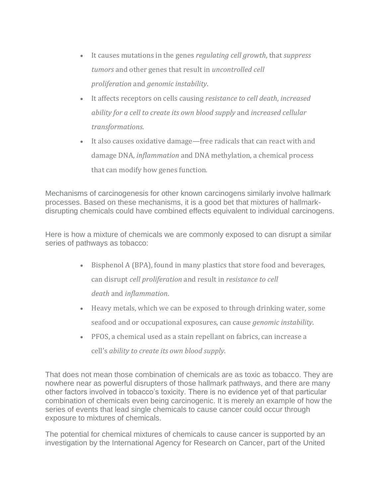- It causes mutations in the genes *regulating cell growth*, that *suppress tumors* and other genes that result in *uncontrolled cell proliferation* and *genomic instability*.
- It affects receptors on cells causing *resistance to cell death*, *increased ability for a cell to create its own blood supply* and *increased cellular transformations*.
- It also causes oxidative damage—free radicals that can react with and damage DNA, *inflammation* and DNA methylation, a chemical process that can modify how genes function.

Mechanisms of carcinogenesis for other known carcinogens similarly involve hallmark processes. Based on these mechanisms, it is a good bet that mixtures of hallmarkdisrupting chemicals could have combined effects equivalent to individual carcinogens.

Here is how a mixture of chemicals we are commonly exposed to can disrupt a similar series of pathways as tobacco:

- Bisphenol A (BPA), found in many plastics that store food and beverages, can disrupt *cell proliferation* and result in *resistance to cell death* and *inflammation*.
- Heavy metals, which we can be exposed to through drinking water, some seafood and or occupational exposures, can cause *genomic instability*.
- PFOS, a chemical used as a stain repellant on fabrics, can increase a cell's *ability to create its own blood supply*.

That does not mean those combination of chemicals are as toxic as tobacco. They are nowhere near as powerful disrupters of those hallmark pathways, and there are many other factors involved in tobacco's toxicity. There is no evidence yet of that particular combination of chemicals even being carcinogenic. It is merely an example of how the series of events that lead single chemicals to cause cancer could occur through exposure to mixtures of chemicals.

The potential for chemical mixtures of chemicals to cause cancer is supported by an investigation by the International Agency for Research on Cancer, part of the United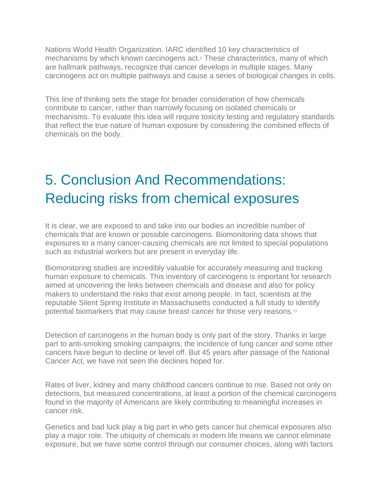Nations World Health Organization. IARC identified 10 key characteristics of mechanisms by which known carcinogens act.<sup>3</sup> These characteristics, many of which are hallmark pathways, recognize that cancer develops in multiple stages. Many carcinogens act on multiple pathways and cause a series of biological changes in cells.

This line of thinking sets the stage for broader consideration of how chemicals contribute to cancer, rather than narrowly focusing on isolated chemicals or mechanisms. To evaluate this idea will require toxicity testing and regulatory standards that reflect the true nature of human exposure by considering the combined effects of chemicals on the body.

## 5. Conclusion And Recommendations: Reducing risks from chemical exposures

It is clear, we are exposed to and take into our bodies an incredible number of chemicals that are known or possible carcinogens. Biomonitoring data shows that exposures to a many cancer-causing chemicals are not limited to special populations such as industrial workers but are present in everyday life.

Biomonitoring studies are incredibly valuable for accurately measuring and tracking human exposure to chemicals. This inventory of carcinogens is important for research aimed at uncovering the links between chemicals and disease and also for policy makers to understand the risks that exist among people. In fact, scientists at the reputable Silent Spring Institute in Massachusetts conducted a full study to identify potential biomarkers that may cause breast cancer for those very reasons.<sup>15</sup>

Detection of carcinogens in the human body is only part of the story. Thanks in large part to anti-smoking smoking campaigns, the incidence of lung cancer and some other cancers have begun to decline or level off. But 45 years after passage of the National Cancer Act, we have not seen the declines hoped for.

Rates of liver, kidney and many childhood cancers continue to rise. Based not only on detections, but measured concentrations, at least a portion of the chemical carcinogens found in the majority of Americans are likely contributing to meaningful increases in cancer risk.

Genetics and bad luck play a big part in who gets cancer but chemical exposures also play a major role. The ubiquity of chemicals in modern life means we cannot eliminate exposure, but we have some control through our consumer choices, along with factors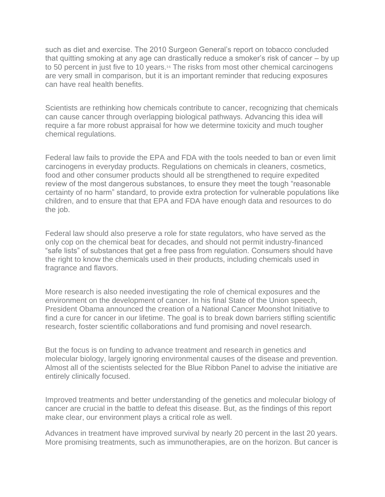such as diet and exercise. The 2010 Surgeon General's report on tobacco concluded that quitting smoking at any age can drastically reduce a smoker's risk of cancer – by up to 50 percent in just five to 10 years.<sup>16</sup> The risks from most other chemical carcinogens are very small in comparison, but it is an important reminder that reducing exposures can have real health benefits.

Scientists are rethinking how chemicals contribute to cancer, recognizing that chemicals can cause cancer through overlapping biological pathways. Advancing this idea will require a far more robust appraisal for how we determine toxicity and much tougher chemical regulations.

Federal law fails to provide the EPA and FDA with the tools needed to ban or even limit carcinogens in everyday products. Regulations on chemicals in cleaners, cosmetics, food and other consumer products should all be strengthened to require expedited review of the most dangerous substances, to ensure they meet the tough "reasonable certainty of no harm" standard, to provide extra protection for vulnerable populations like children, and to ensure that that EPA and FDA have enough data and resources to do the job.

Federal law should also preserve a role for state regulators, who have served as the only cop on the chemical beat for decades, and should not permit industry-financed "safe lists" of substances that get a free pass from regulation. Consumers should have the right to know the chemicals used in their products, including chemicals used in fragrance and flavors.

More research is also needed investigating the role of chemical exposures and the environment on the development of cancer. In his final State of the Union speech, President Obama announced the creation of a National Cancer Moonshot Initiative to find a cure for cancer in our lifetime. The goal is to break down barriers stifling scientific research, foster scientific collaborations and fund promising and novel research.

But the focus is on funding to advance treatment and research in genetics and molecular biology, largely ignoring environmental causes of the disease and prevention. Almost all of the scientists selected for the Blue Ribbon Panel to advise the initiative are entirely clinically focused.

Improved treatments and better understanding of the genetics and molecular biology of cancer are crucial in the battle to defeat this disease. But, as the findings of this report make clear, our environment plays a critical role as well.

Advances in treatment have improved survival by nearly 20 percent in the last 20 years. More promising treatments, such as immunotherapies, are on the horizon. But cancer is